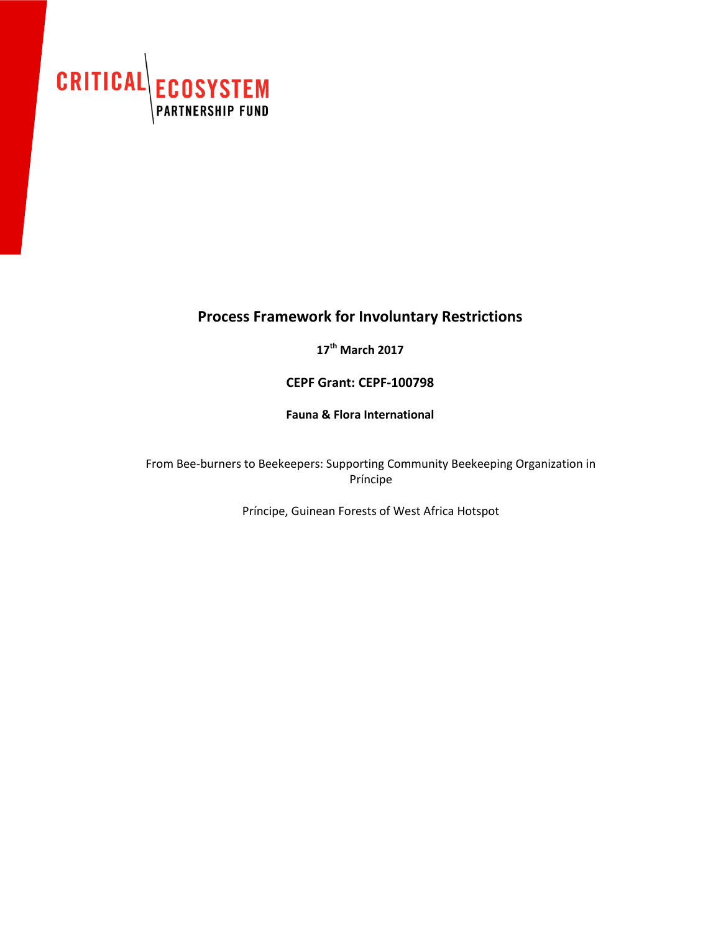

# **Process Framework for Involuntary Restrictions**

**17th March 2017**

**CEPF Grant: CEPF-100798**

**Fauna & Flora International**

From Bee-burners to Beekeepers: Supporting Community Beekeeping Organization in Príncipe

Príncipe, Guinean Forests of West Africa Hotspot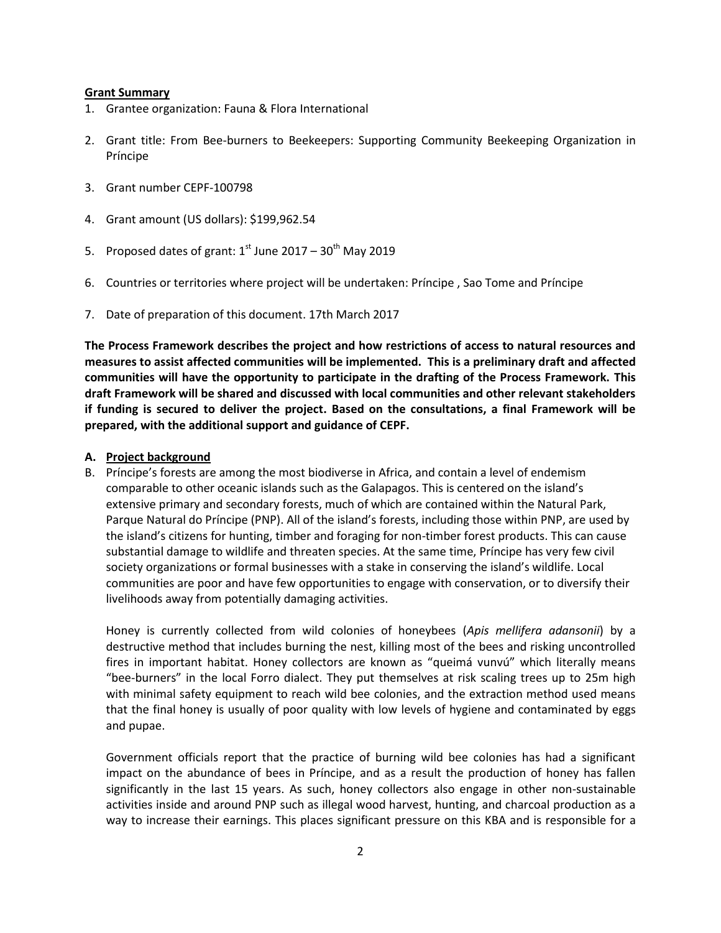## **Grant Summary**

- 1. Grantee organization: Fauna & Flora International
- 2. Grant title: From Bee-burners to Beekeepers: Supporting Community Beekeeping Organization in Príncipe
- 3. Grant number CEPF-100798
- 4. Grant amount (US dollars): \$199,962.54
- 5. Proposed dates of grant:  $1^{st}$  June 2017 30<sup>th</sup> May 2019
- 6. Countries or territories where project will be undertaken: Príncipe , Sao Tome and Príncipe
- 7. Date of preparation of this document. 17th March 2017

**The Process Framework describes the project and how restrictions of access to natural resources and measures to assist affected communities will be implemented. This is a preliminary draft and affected communities will have the opportunity to participate in the drafting of the Process Framework. This draft Framework will be shared and discussed with local communities and other relevant stakeholders if funding is secured to deliver the project. Based on the consultations, a final Framework will be prepared, with the additional support and guidance of CEPF.** 

# **A. Project background**

B. Príncipe's forests are among the most biodiverse in Africa, and contain a level of endemism comparable to other oceanic islands such as the Galapagos. This is centered on the island's extensive primary and secondary forests, much of which are contained within the Natural Park, Parque Natural do Príncipe (PNP). All of the island's forests, including those within PNP, are used by the island's citizens for hunting, timber and foraging for non-timber forest products. This can cause substantial damage to wildlife and threaten species. At the same time, Príncipe has very few civil society organizations or formal businesses with a stake in conserving the island's wildlife. Local communities are poor and have few opportunities to engage with conservation, or to diversify their livelihoods away from potentially damaging activities.

Honey is currently collected from wild colonies of honeybees (*Apis mellifera adansonii*) by a destructive method that includes burning the nest, killing most of the bees and risking uncontrolled fires in important habitat. Honey collectors are known as "queimá vunvú" which literally means "bee-burners" in the local Forro dialect. They put themselves at risk scaling trees up to 25m high with minimal safety equipment to reach wild bee colonies, and the extraction method used means that the final honey is usually of poor quality with low levels of hygiene and contaminated by eggs and pupae.

Government officials report that the practice of burning wild bee colonies has had a significant impact on the abundance of bees in Príncipe, and as a result the production of honey has fallen significantly in the last 15 years. As such, honey collectors also engage in other non-sustainable activities inside and around PNP such as illegal wood harvest, hunting, and charcoal production as a way to increase their earnings. This places significant pressure on this KBA and is responsible for a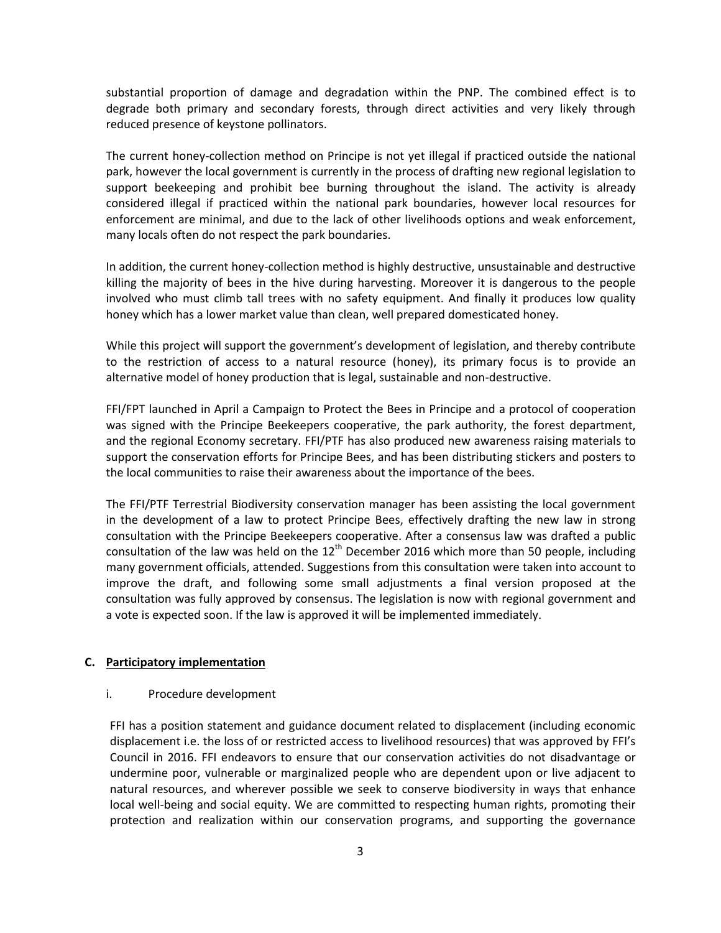substantial proportion of damage and degradation within the PNP. The combined effect is to degrade both primary and secondary forests, through direct activities and very likely through reduced presence of keystone pollinators.

The current honey-collection method on Principe is not yet illegal if practiced outside the national park, however the local government is currently in the process of drafting new regional legislation to support beekeeping and prohibit bee burning throughout the island. The activity is already considered illegal if practiced within the national park boundaries, however local resources for enforcement are minimal, and due to the lack of other livelihoods options and weak enforcement, many locals often do not respect the park boundaries.

In addition, the current honey-collection method is highly destructive, unsustainable and destructive killing the majority of bees in the hive during harvesting. Moreover it is dangerous to the people involved who must climb tall trees with no safety equipment. And finally it produces low quality honey which has a lower market value than clean, well prepared domesticated honey.

While this project will support the government's development of legislation, and thereby contribute to the restriction of access to a natural resource (honey), its primary focus is to provide an alternative model of honey production that is legal, sustainable and non-destructive.

FFI/FPT launched in April a Campaign to Protect the Bees in Principe and a protocol of cooperation was signed with the Principe Beekeepers cooperative, the park authority, the forest department, and the regional Economy secretary. FFI/PTF has also produced new awareness raising materials to support the conservation efforts for Principe Bees, and has been distributing stickers and posters to the local communities to raise their awareness about the importance of the bees.

The FFI/PTF Terrestrial Biodiversity conservation manager has been assisting the local government in the development of a law to protect Principe Bees, effectively drafting the new law in strong consultation with the Principe Beekeepers cooperative. After a consensus law was drafted a public consultation of the law was held on the  $12<sup>th</sup>$  December 2016 which more than 50 people, including many government officials, attended. Suggestions from this consultation were taken into account to improve the draft, and following some small adjustments a final version proposed at the consultation was fully approved by consensus. The legislation is now with regional government and a vote is expected soon. If the law is approved it will be implemented immediately.

## **C. Participatory implementation**

## i. Procedure development

FFI has a position statement and guidance document related to displacement (including economic displacement i.e. the loss of or restricted access to livelihood resources) that was approved by FFI's Council in 2016. FFI endeavors to ensure that our conservation activities do not disadvantage or undermine poor, vulnerable or marginalized people who are dependent upon or live adjacent to natural resources, and wherever possible we seek to conserve biodiversity in ways that enhance local well-being and social equity. We are committed to respecting human rights, promoting their protection and realization within our conservation programs, and supporting the governance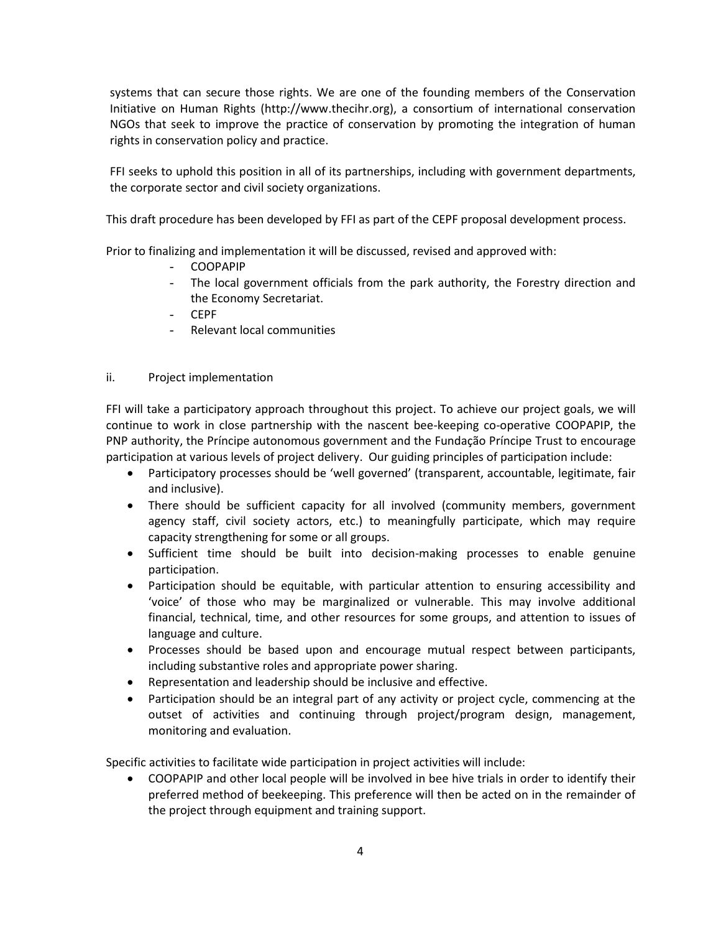systems that can secure those rights. We are one of the founding members of the Conservation Initiative on Human Rights (http://www.thecihr.org), a consortium of international conservation NGOs that seek to improve the practice of conservation by promoting the integration of human rights in conservation policy and practice.

FFI seeks to uphold this position in all of its partnerships, including with government departments, the corporate sector and civil society organizations.

This draft procedure has been developed by FFI as part of the CEPF proposal development process.

Prior to finalizing and implementation it will be discussed, revised and approved with:

- COOPAPIP
- The local government officials from the park authority, the Forestry direction and the Economy Secretariat.
- CEPF
- Relevant local communities

# ii. Project implementation

FFI will take a participatory approach throughout this project. To achieve our project goals, we will continue to work in close partnership with the nascent bee-keeping co-operative COOPAPIP, the PNP authority, the Príncipe autonomous government and the Fundação Príncipe Trust to encourage participation at various levels of project delivery. Our guiding principles of participation include:

- Participatory processes should be 'well governed' (transparent, accountable, legitimate, fair and inclusive).
- There should be sufficient capacity for all involved (community members, government agency staff, civil society actors, etc.) to meaningfully participate, which may require capacity strengthening for some or all groups.
- Sufficient time should be built into decision-making processes to enable genuine participation.
- Participation should be equitable, with particular attention to ensuring accessibility and 'voice' of those who may be marginalized or vulnerable. This may involve additional financial, technical, time, and other resources for some groups, and attention to issues of language and culture.
- Processes should be based upon and encourage mutual respect between participants, including substantive roles and appropriate power sharing.
- Representation and leadership should be inclusive and effective.
- Participation should be an integral part of any activity or project cycle, commencing at the outset of activities and continuing through project/program design, management, monitoring and evaluation.

Specific activities to facilitate wide participation in project activities will include:

 COOPAPIP and other local people will be involved in bee hive trials in order to identify their preferred method of beekeeping. This preference will then be acted on in the remainder of the project through equipment and training support.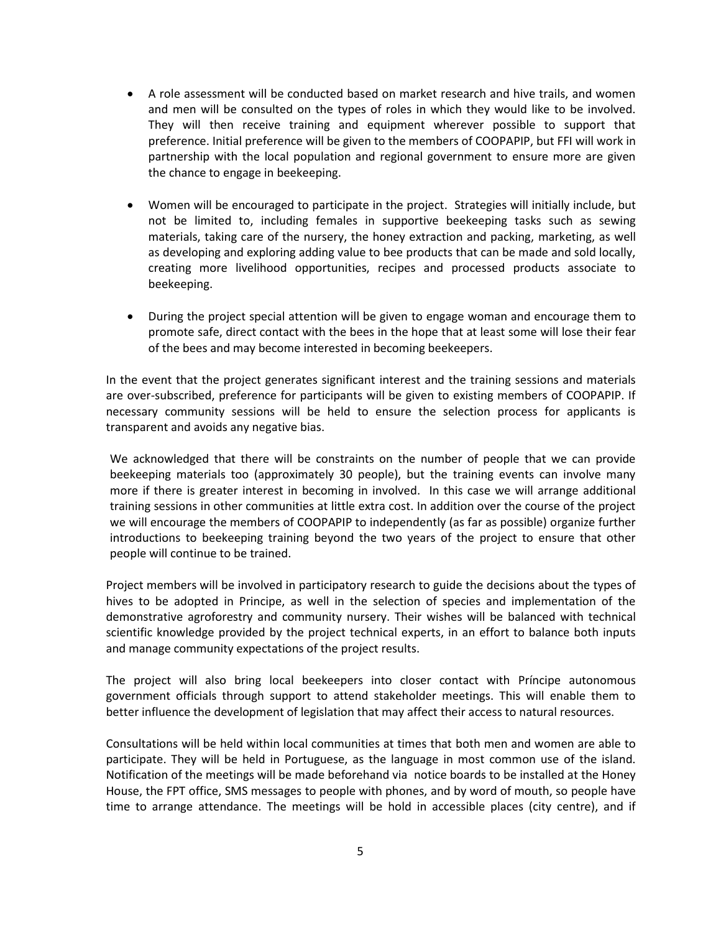- A role assessment will be conducted based on market research and hive trails, and women and men will be consulted on the types of roles in which they would like to be involved. They will then receive training and equipment wherever possible to support that preference. Initial preference will be given to the members of COOPAPIP, but FFI will work in partnership with the local population and regional government to ensure more are given the chance to engage in beekeeping.
- Women will be encouraged to participate in the project. Strategies will initially include, but not be limited to, including females in supportive beekeeping tasks such as sewing materials, taking care of the nursery, the honey extraction and packing, marketing, as well as developing and exploring adding value to bee products that can be made and sold locally, creating more livelihood opportunities, recipes and processed products associate to beekeeping.
- During the project special attention will be given to engage woman and encourage them to promote safe, direct contact with the bees in the hope that at least some will lose their fear of the bees and may become interested in becoming beekeepers.

In the event that the project generates significant interest and the training sessions and materials are over-subscribed, preference for participants will be given to existing members of COOPAPIP. If necessary community sessions will be held to ensure the selection process for applicants is transparent and avoids any negative bias.

We acknowledged that there will be constraints on the number of people that we can provide beekeeping materials too (approximately 30 people), but the training events can involve many more if there is greater interest in becoming in involved. In this case we will arrange additional training sessions in other communities at little extra cost. In addition over the course of the project we will encourage the members of COOPAPIP to independently (as far as possible) organize further introductions to beekeeping training beyond the two years of the project to ensure that other people will continue to be trained.

Project members will be involved in participatory research to guide the decisions about the types of hives to be adopted in Principe, as well in the selection of species and implementation of the demonstrative agroforestry and community nursery. Their wishes will be balanced with technical scientific knowledge provided by the project technical experts, in an effort to balance both inputs and manage community expectations of the project results.

The project will also bring local beekeepers into closer contact with Príncipe autonomous government officials through support to attend stakeholder meetings. This will enable them to better influence the development of legislation that may affect their access to natural resources.

Consultations will be held within local communities at times that both men and women are able to participate. They will be held in Portuguese, as the language in most common use of the island. Notification of the meetings will be made beforehand via notice boards to be installed at the Honey House, the FPT office, SMS messages to people with phones, and by word of mouth, so people have time to arrange attendance. The meetings will be hold in accessible places (city centre), and if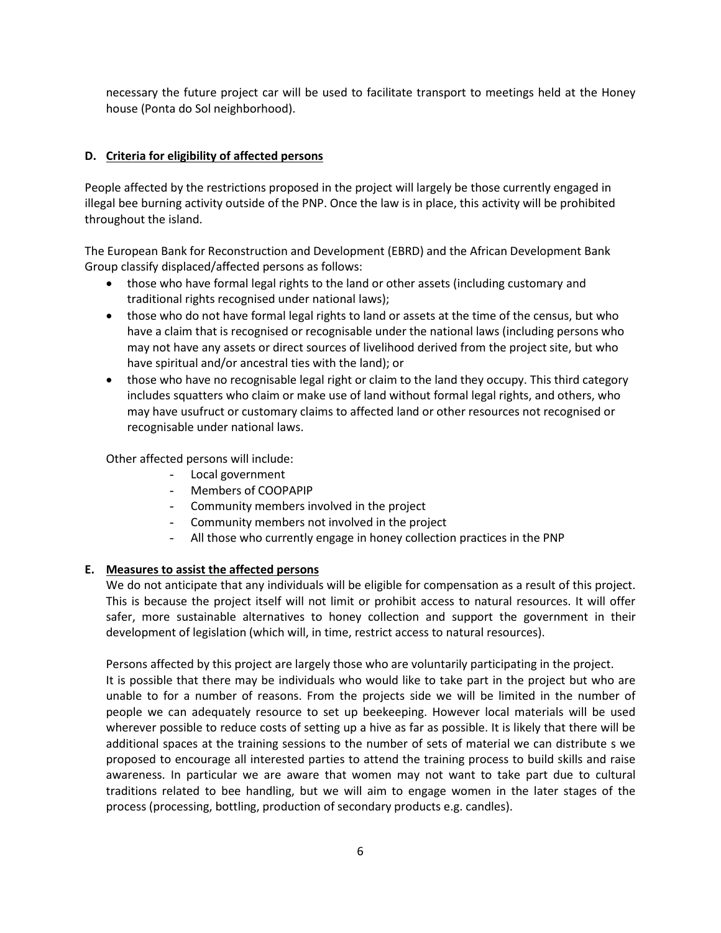necessary the future project car will be used to facilitate transport to meetings held at the Honey house (Ponta do Sol neighborhood).

# **D. Criteria for eligibility of affected persons**

People affected by the restrictions proposed in the project will largely be those currently engaged in illegal bee burning activity outside of the PNP. Once the law is in place, this activity will be prohibited throughout the island.

The European Bank for Reconstruction and Development (EBRD) and the African Development Bank Group classify displaced/affected persons as follows:

- those who have formal legal rights to the land or other assets (including customary and traditional rights recognised under national laws);
- those who do not have formal legal rights to land or assets at the time of the census, but who have a claim that is recognised or recognisable under the national laws (including persons who may not have any assets or direct sources of livelihood derived from the project site, but who have spiritual and/or ancestral ties with the land); or
- those who have no recognisable legal right or claim to the land they occupy. This third category includes squatters who claim or make use of land without formal legal rights, and others, who may have usufruct or customary claims to affected land or other resources not recognised or recognisable under national laws.

Other affected persons will include:

- Local government
- Members of COOPAPIP
- Community members involved in the project
- Community members not involved in the project
- All those who currently engage in honey collection practices in the PNP

## **E. Measures to assist the affected persons**

We do not anticipate that any individuals will be eligible for compensation as a result of this project. This is because the project itself will not limit or prohibit access to natural resources. It will offer safer, more sustainable alternatives to honey collection and support the government in their development of legislation (which will, in time, restrict access to natural resources).

Persons affected by this project are largely those who are voluntarily participating in the project.

It is possible that there may be individuals who would like to take part in the project but who are unable to for a number of reasons. From the projects side we will be limited in the number of people we can adequately resource to set up beekeeping. However local materials will be used wherever possible to reduce costs of setting up a hive as far as possible. It is likely that there will be additional spaces at the training sessions to the number of sets of material we can distribute s we proposed to encourage all interested parties to attend the training process to build skills and raise awareness. In particular we are aware that women may not want to take part due to cultural traditions related to bee handling, but we will aim to engage women in the later stages of the process (processing, bottling, production of secondary products e.g. candles).